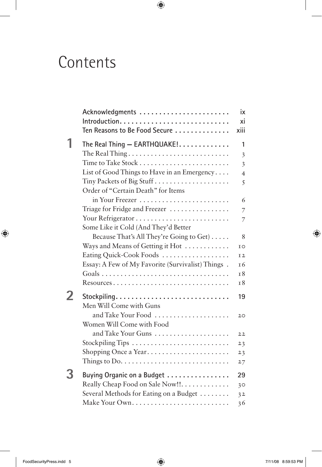## Contents

|   | Acknowledgments                                                                | ix                        |
|---|--------------------------------------------------------------------------------|---------------------------|
|   |                                                                                | xi                        |
|   | Ten Reasons to Be Food Secure                                                  | xiii                      |
| 1 | The Real Thing - EARTHQUAKE!                                                   | 1                         |
|   |                                                                                | 3                         |
|   |                                                                                | $\overline{\mathfrak{z}}$ |
|   | List of Good Things to Have in an Emergency                                    | $\overline{4}$            |
|   | Tiny Packets of Big Stuff                                                      | 5                         |
|   | Order of "Certain Death" for Items                                             |                           |
|   | in Your Freezer                                                                | 6                         |
|   | Triage for Fridge and Freezer                                                  | 7                         |
|   |                                                                                | 7                         |
|   | Some Like it Cold (And They'd Better                                           |                           |
|   | Because That's All They're Going to Get)                                       | 8                         |
|   | Ways and Means of Getting it Hot                                               | IO                        |
|   | Eating Quick-Cook Foods                                                        | I2                        |
|   | Essay: A Few of My Favorite (Survivalist) Things.                              | 16                        |
|   |                                                                                | 18                        |
|   | Resources                                                                      | 18                        |
| 2 | Stockpiling                                                                    | 19                        |
|   | Men Will Come with Guns                                                        |                           |
|   | and Take Your Food                                                             | 20                        |
|   | Women Will Come with Food                                                      |                           |
|   | and Take Your Guns                                                             | 22                        |
|   |                                                                                | 23                        |
|   | Shopping Once a Year                                                           | 23                        |
|   | Things to $Do. \ldots \ldots \ldots \ldots \ldots \ldots \ldots \ldots \ldots$ | 27                        |
|   | Buying Organic on a Budget                                                     | 29                        |
|   | Really Cheap Food on Sale Now!!                                                | 30                        |
|   | Several Methods for Eating on a Budget                                         | 32                        |
|   |                                                                                | 36                        |
|   |                                                                                |                           |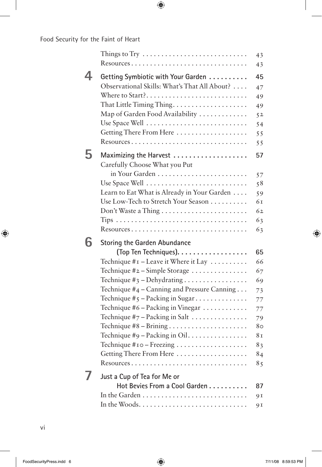## Food Security for the Faint of Heart

|   | Things to Try $\,\ldots\ldots\ldots\ldots\ldots\ldots\ldots\ldots\ldots\ldots\ldots\,$<br>Resources | 43<br>43       |
|---|-----------------------------------------------------------------------------------------------------|----------------|
|   | Getting Symbiotic with Your Garden                                                                  | 45             |
|   | Observational Skills: What's That All About?                                                        | 47             |
|   | Where to Start?                                                                                     | 49             |
|   |                                                                                                     | 49             |
|   | Map of Garden Food Availability                                                                     | 5 <sup>2</sup> |
|   | Use Space Well                                                                                      | 54             |
|   | Getting There From Here                                                                             | 55             |
|   | Resources                                                                                           | 55             |
|   |                                                                                                     | 57             |
|   | Carefully Choose What you Put                                                                       |                |
|   | in Your Garden                                                                                      | 57             |
|   | Use Space Well                                                                                      | 58             |
|   | Learn to Eat What is Already in Your Garden                                                         | 59             |
|   | Use Low-Tech to Stretch Your Season                                                                 | 61             |
|   |                                                                                                     | 62             |
|   |                                                                                                     | 63             |
|   | Resources                                                                                           | 63             |
| h |                                                                                                     |                |
|   | <b>Storing the Garden Abundance</b><br>(Top Ten Techniques).                                        | 65             |
|   | Technique $\#$ I – Leave it Where it Lay $\ldots \ldots \ldots$                                     | 66             |
|   | Technique #2 - Simple Storage                                                                       | 67             |
|   | Technique $\#$ <sub>3</sub> - Dehydrating                                                           | 69             |
|   | Technique #4 – Canning and Pressure Canning                                                         | 73             |
|   | Technique $\#$ 5 – Packing in Sugar                                                                 | 77             |
|   | Technique #6 - Packing in Vinegar                                                                   | 77             |
|   | Technique $\#$ 7 – Packing in Salt                                                                  | 79             |
|   |                                                                                                     | 80             |
|   | Technique #9 - Packing in Oil                                                                       | 81             |
|   | Technique #10 - Freezing                                                                            | 83             |
|   | Getting There From Here                                                                             | 84             |
|   | $Resources \dots \dots$                                                                             | 85             |
|   |                                                                                                     |                |
|   | Just a Cup of Tea for Me or                                                                         |                |
|   | Hot Bevies From a Cool Garden                                                                       | 87             |
|   |                                                                                                     | 91             |
|   |                                                                                                     | 91             |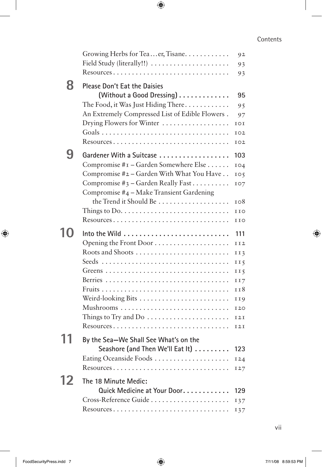## Contents

|    | Growing Herbs for Teaer, Tisane                                       | 92<br>93        |
|----|-----------------------------------------------------------------------|-----------------|
|    | Resources                                                             | 93              |
| 8  | <b>Please Don't Eat the Daisies</b><br>(Without a Good Dressing)      | 95              |
|    | The Food, it Was Just Hiding There                                    | 95              |
|    | An Extremely Compressed List of Edible Flowers.                       | 97              |
|    | Drying Flowers for Winter                                             | IOI             |
|    |                                                                       | 102             |
|    | Resources                                                             | 102             |
| 9  | Gardener With a Suitcase                                              | 103             |
|    | Compromise #1 - Garden Somewhere Else                                 | 104             |
|    | Compromise #2 - Garden With What You Have                             | 105             |
|    | Compromise #3 - Garden Really Fast                                    | IO7             |
|    | Compromise #4 - Make Transient Gardening                              |                 |
|    | the Trend it Should Be                                                | 108             |
|    | Things to Do. $\dots \dots \dots \dots \dots \dots \dots \dots \dots$ | <b>IIO</b>      |
|    | Resources                                                             | IIO             |
| 10 |                                                                       | 111             |
|    |                                                                       | II2             |
|    | Roots and Shoots                                                      | II3             |
|    |                                                                       | II <sub>5</sub> |
|    |                                                                       | II <sub>5</sub> |
|    |                                                                       | 117             |
|    |                                                                       | 118             |
|    | Weird-looking Bits                                                    | II9             |
|    |                                                                       | <b>I20</b>      |
|    | Things to Try and Do $\dots\dots\dots\dots\dots\dots\dots\dots$       | I2I             |
|    | Resources                                                             | <b>I2I</b>      |
|    | By the Sea-We Shall See What's on the                                 |                 |
|    | Seashore (and Then We'll Eat It)                                      | 123             |
|    | Eating Oceanside Foods                                                | I24             |
|    | Resources                                                             | 127             |
| 12 | The 18 Minute Medic:                                                  |                 |
|    | Quick Medicine at Your Door.                                          | 129             |
|    | Cross-Reference Guide                                                 |                 |
|    | Resources                                                             | 137             |
|    |                                                                       | 137             |